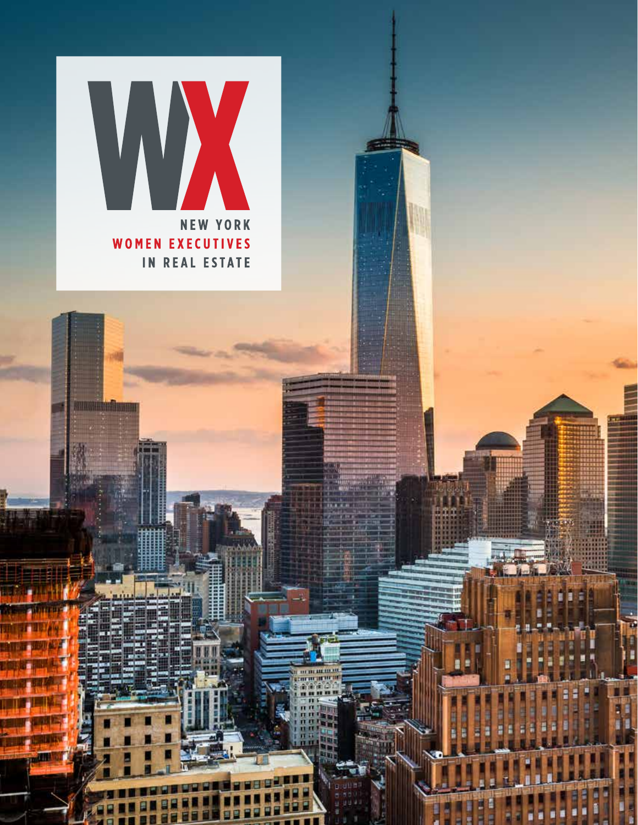

**TANTO DE LA PRODUCTIVA DEL CONTENENT**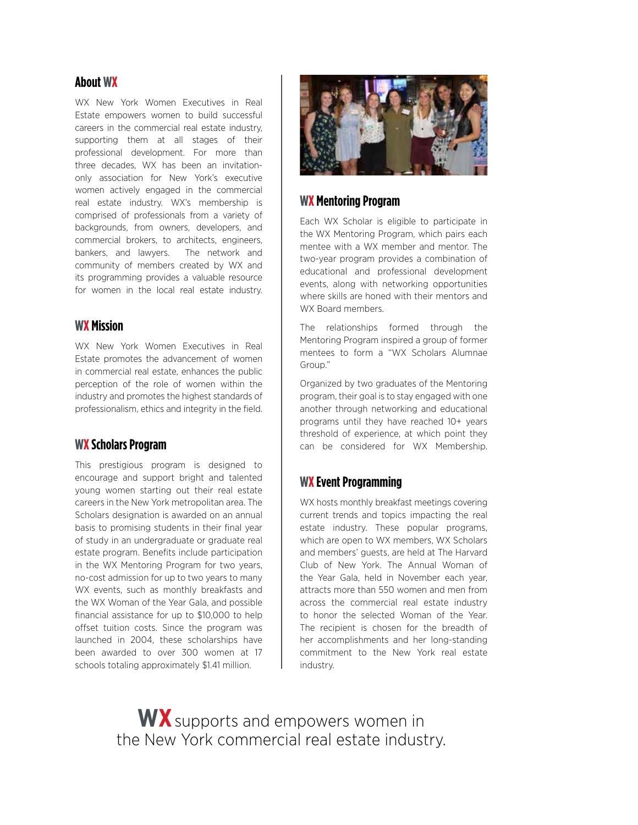# **About WX**

WX New York Women Executives in Real Estate empowers women to build successful careers in the commercial real estate industry, supporting them at all stages of their professional development. For more than three decades, WX has been an invitationonly association for New York's executive women actively engaged in the commercial real estate industry. WX's membership is comprised of professionals from a variety of backgrounds, from owners, developers, and commercial brokers, to architects, engineers, bankers, and lawyers. The network and community of members created by WX and its programming provides a valuable resource for women in the local real estate industry.

# **WX Mission**

WX New York Women Executives in Real Estate promotes the advancement of women in commercial real estate, enhances the public perception of the role of women within the industry and promotes the highest standards of professionalism, ethics and integrity in the field.

# **WX Scholars Program**

This prestigious program is designed to encourage and support bright and talented young women starting out their real estate careers in the New York metropolitan area. The Scholars designation is awarded on an annual basis to promising students in their final year of study in an undergraduate or graduate real estate program. Benefits include participation in the WX Mentoring Program for two years, no-cost admission for up to two years to many WX events, such as monthly breakfasts and the WX Woman of the Year Gala, and possible financial assistance for up to \$10,000 to help offset tuition costs. Since the program was launched in 2004, these scholarships have been awarded to over 300 women at 17 schools totaling approximately \$1.41 million.



### **WX Mentoring Program**

Each WX Scholar is eligible to participate in the WX Mentoring Program, which pairs each mentee with a WX member and mentor. The two-year program provides a combination of educational and professional development events, along with networking opportunities where skills are honed with their mentors and WX Board members.

The relationships formed through the Mentoring Program inspired a group of former mentees to form a "WX Scholars Alumnae Group."

Organized by two graduates of the Mentoring program, their goal is to stay engaged with one another through networking and educational programs until they have reached 10+ years threshold of experience, at which point they can be considered for WX Membership.

# **WX Event Programming**

WX hosts monthly breakfast meetings covering current trends and topics impacting the real estate industry. These popular programs, which are open to WX members, WX Scholars and members' guests, are held at The Harvard Club of New York. The Annual Woman of the Year Gala, held in November each year, attracts more than 550 women and men from across the commercial real estate industry to honor the selected Woman of the Year. The recipient is chosen for the breadth of her accomplishments and her long-standing commitment to the New York real estate industry.

**WX**supports and empowers women in the New York commercial real estate industry.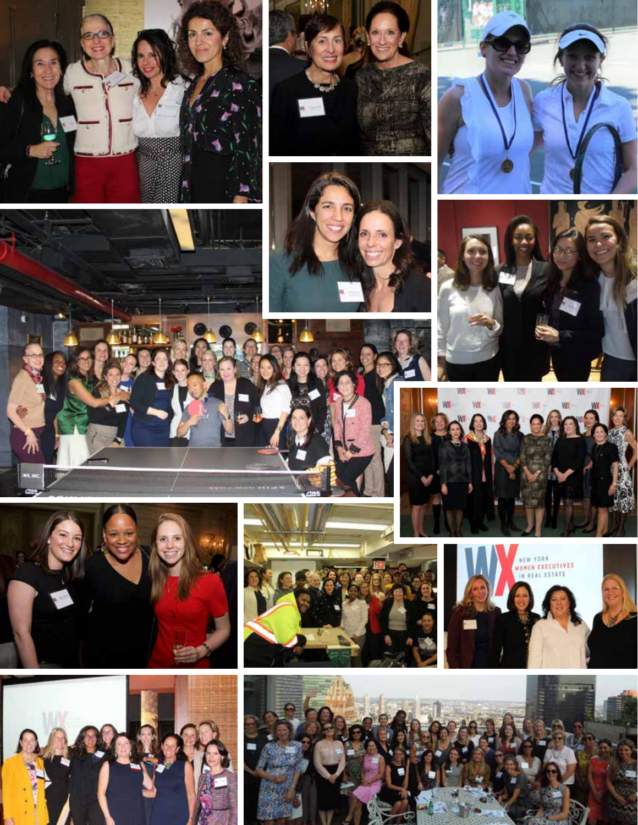











(0定)